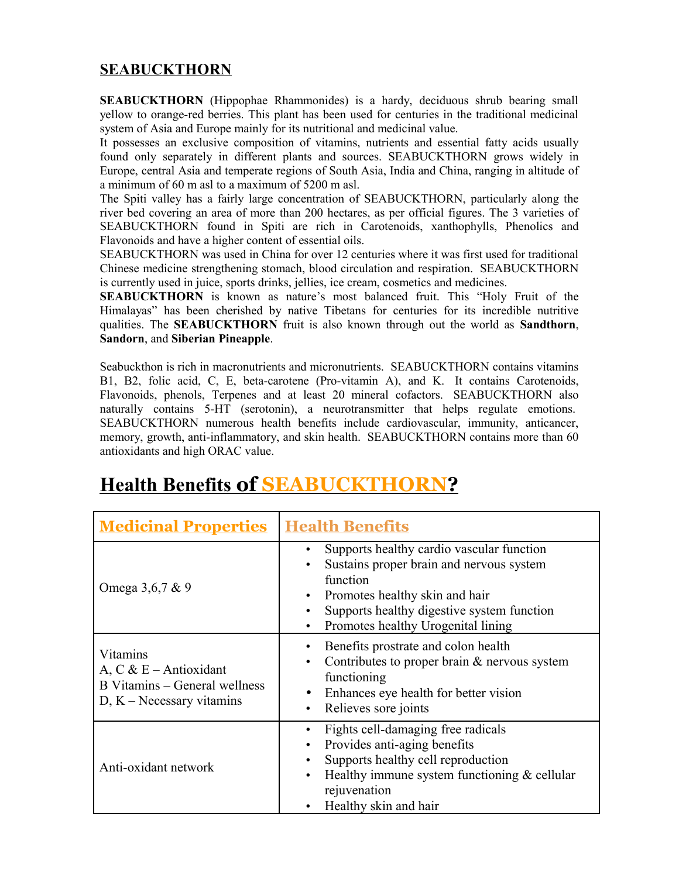## **SEABUCKTHORN**

**SEABUCKTHORN** (Hippophae Rhammonides) is a hardy, deciduous shrub bearing small yellow to orange-red berries. This plant has been used for centuries in the traditional medicinal system of Asia and Europe mainly for its nutritional and medicinal value.

It possesses an exclusive composition of vitamins, nutrients and essential fatty acids usually found only separately in different plants and sources. SEABUCKTHORN grows widely in Europe, central Asia and temperate regions of South Asia, India and China, ranging in altitude of a minimum of 60 m asl to a maximum of 5200 m asl.

The Spiti valley has a fairly large concentration of SEABUCKTHORN, particularly along the river bed covering an area of more than 200 hectares, as per official figures. The 3 varieties of SEABUCKTHORN found in Spiti are rich in Carotenoids, xanthophylls, Phenolics and Flavonoids and have a higher content of essential oils.

SEABUCKTHORN was used in China for over 12 centuries where it was first used for traditional Chinese medicine strengthening stomach, blood circulation and respiration. SEABUCKTHORN is currently used in juice, sports drinks, jellies, ice cream, cosmetics and medicines.

**SEABUCKTHORN** is known as nature's most balanced fruit. This "Holy Fruit of the Himalayas" has been cherished by native Tibetans for centuries for its incredible nutritive qualities. The **SEABUCKTHORN** fruit is also known through out the world as **Sandthorn**, **Sandorn**, and **Siberian Pineapple**.

Seabuckthon is rich in macronutrients and micronutrients. SEABUCKTHORN contains vitamins B1, B2, folic acid, C, E, beta-carotene (Pro-vitamin A), and K. It contains Carotenoids, Flavonoids, phenols, Terpenes and at least 20 mineral cofactors. SEABUCKTHORN also naturally contains 5-HT (serotonin), a neurotransmitter that helps regulate emotions. SEABUCKTHORN numerous health benefits include cardiovascular, immunity, anticancer, memory, growth, anti-inflammatory, and skin health. SEABUCKTHORN contains more than 60 antioxidants and high ORAC value.

| <b>Medicinal Properties</b>                                                                           | <b>Health Benefits</b>                                                                                                                                                                                                                                                                   |
|-------------------------------------------------------------------------------------------------------|------------------------------------------------------------------------------------------------------------------------------------------------------------------------------------------------------------------------------------------------------------------------------------------|
| Omega 3,6,7 & 9                                                                                       | Supports healthy cardio vascular function<br>$\bullet$<br>Sustains proper brain and nervous system<br>$\bullet$<br>function<br>Promotes healthy skin and hair<br>$\bullet$<br>Supports healthy digestive system function<br>$\bullet$<br>Promotes healthy Urogenital lining<br>$\bullet$ |
| Vitamins<br>A, $C & E$ – Antioxidant<br>B Vitamins – General wellness<br>$D, K - N$ ecessary vitamins | Benefits prostrate and colon health<br>$\bullet$<br>Contributes to proper brain $&$ nervous system<br>$\bullet$<br>functioning<br>Enhances eye health for better vision<br>$\bullet$<br>Relieves sore joints<br>$\bullet$                                                                |
| Anti-oxidant network                                                                                  | Fights cell-damaging free radicals<br>Provides anti-aging benefits<br>$\bullet$<br>Supports healthy cell reproduction<br>$\bullet$<br>Healthy immune system functioning & cellular<br>$\bullet$<br>rejuvenation<br>Healthy skin and hair                                                 |

## **Health Benefits of SEABUCKTHORN ?**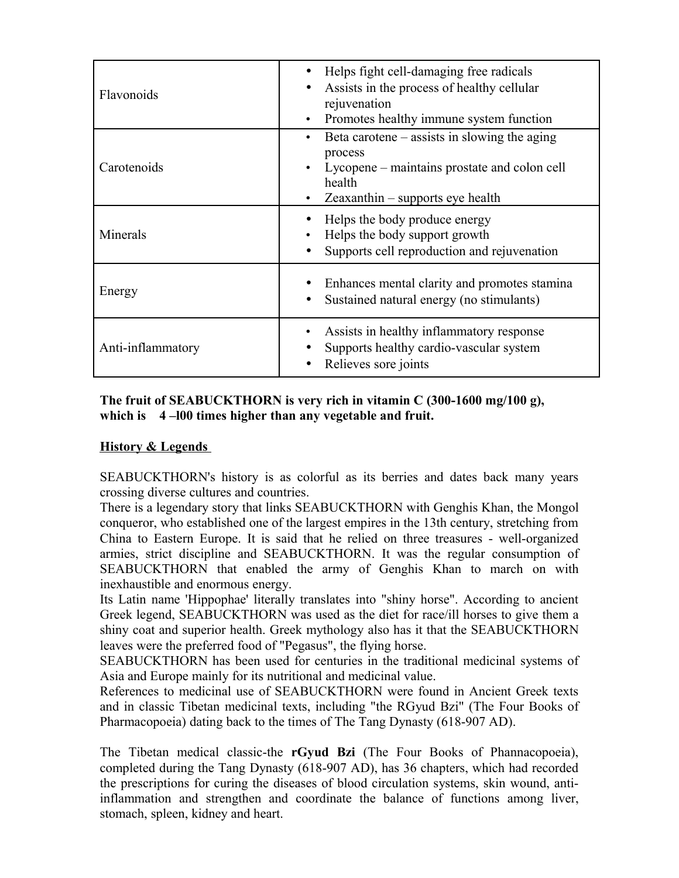| Flavonoids        | Helps fight cell-damaging free radicals<br>Assists in the process of healthy cellular<br>rejuvenation<br>Promotes healthy immune system function        |
|-------------------|---------------------------------------------------------------------------------------------------------------------------------------------------------|
| Carotenoids       | Beta carotene $-$ assists in slowing the aging<br>process<br>Lycopene – maintains prostate and colon cell<br>health<br>Zeaxanthin – supports eye health |
| Minerals          | Helps the body produce energy<br>Helps the body support growth<br>Supports cell reproduction and rejuvenation                                           |
| Energy            | Enhances mental clarity and promotes stamina<br>Sustained natural energy (no stimulants)                                                                |
| Anti-inflammatory | Assists in healthy inflammatory response<br>Supports healthy cardio-vascular system<br>Relieves sore joints                                             |

**The fruit of SEABUCKTHORN is very rich in vitamin C (300-1600 mg/100 g), which is 4 –l00 times higher than any vegetable and fruit.**

## **History & Legends**

SEABUCKTHORN's history is as colorful as its berries and dates back many years crossing diverse cultures and countries.

There is a legendary story that links SEABUCKTHORN with Genghis Khan, the Mongol conqueror, who established one of the largest empires in the 13th century, stretching from China to Eastern Europe. It is said that he relied on three treasures - well-organized armies, strict discipline and SEABUCKTHORN. It was the regular consumption of SEABUCKTHORN that enabled the army of Genghis Khan to march on with inexhaustible and enormous energy.

Its Latin name 'Hippophae' literally translates into "shiny horse". According to ancient Greek legend, SEABUCKTHORN was used as the diet for race/ill horses to give them a shiny coat and superior health. Greek mythology also has it that the SEABUCKTHORN leaves were the preferred food of "Pegasus", the flying horse.

SEABUCKTHORN has been used for centuries in the traditional medicinal systems of Asia and Europe mainly for its nutritional and medicinal value.

References to medicinal use of SEABUCKTHORN were found in Ancient Greek texts and in classic Tibetan medicinal texts, including "the RGyud Bzi" (The Four Books of Pharmacopoeia) dating back to the times of The Tang Dynasty (618-907 AD).

The Tibetan medical classic-the **rGyud Bzi** (The Four Books of Phannacopoeia), completed during the Tang Dynasty (618-907 AD), has 36 chapters, which had recorded the prescriptions for curing the diseases of blood circulation systems, skin wound, antiinflammation and strengthen and coordinate the balance of functions among liver, stomach, spleen, kidney and heart.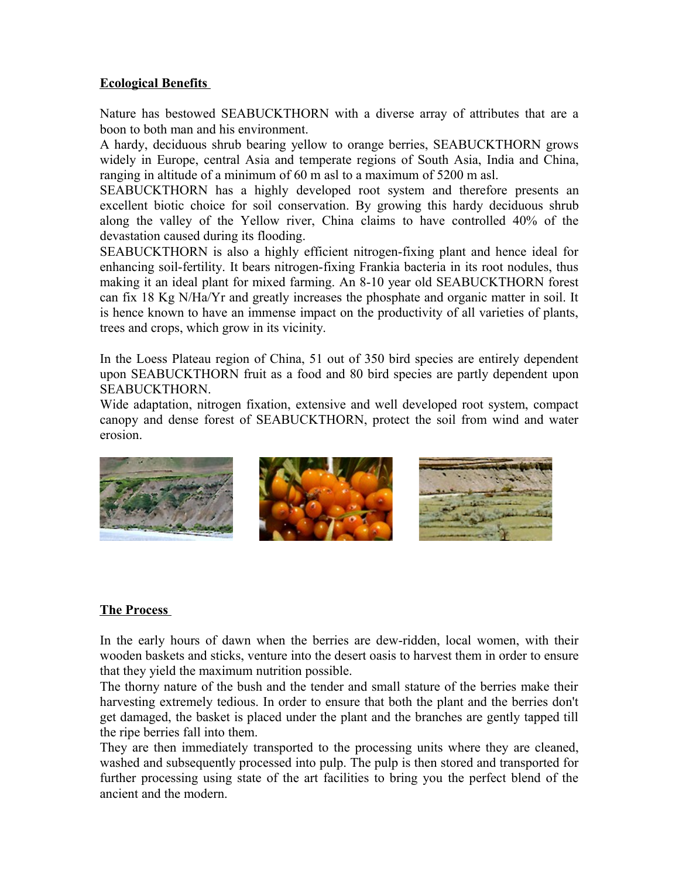#### **Ecological Benefits**

Nature has bestowed SEABUCKTHORN with a diverse array of attributes that are a boon to both man and his environment.

A hardy, deciduous shrub bearing yellow to orange berries, SEABUCKTHORN grows widely in Europe, central Asia and temperate regions of South Asia, India and China, ranging in altitude of a minimum of 60 m asl to a maximum of 5200 m asl.

SEABUCKTHORN has a highly developed root system and therefore presents an excellent biotic choice for soil conservation. By growing this hardy deciduous shrub along the valley of the Yellow river, China claims to have controlled 40% of the devastation caused during its flooding.

SEABUCKTHORN is also a highly efficient nitrogen-fixing plant and hence ideal for enhancing soil-fertility. It bears nitrogen-fixing Frankia bacteria in its root nodules, thus making it an ideal plant for mixed farming. An 8-10 year old SEABUCKTHORN forest can fix 18 Kg N/Ha/Yr and greatly increases the phosphate and organic matter in soil. It is hence known to have an immense impact on the productivity of all varieties of plants, trees and crops, which grow in its vicinity.

In the Loess Plateau region of China, 51 out of 350 bird species are entirely dependent upon SEABUCKTHORN fruit as a food and 80 bird species are partly dependent upon SEABUCKTHORN.

Wide adaptation, nitrogen fixation, extensive and well developed root system, compact canopy and dense forest of SEABUCKTHORN, protect the soil from wind and water erosion.



## **The Process**

In the early hours of dawn when the berries are dew-ridden, local women, with their wooden baskets and sticks, venture into the desert oasis to harvest them in order to ensure that they yield the maximum nutrition possible.

The thorny nature of the bush and the tender and small stature of the berries make their harvesting extremely tedious. In order to ensure that both the plant and the berries don't get damaged, the basket is placed under the plant and the branches are gently tapped till the ripe berries fall into them.

They are then immediately transported to the processing units where they are cleaned, washed and subsequently processed into pulp. The pulp is then stored and transported for further processing using state of the art facilities to bring you the perfect blend of the ancient and the modern.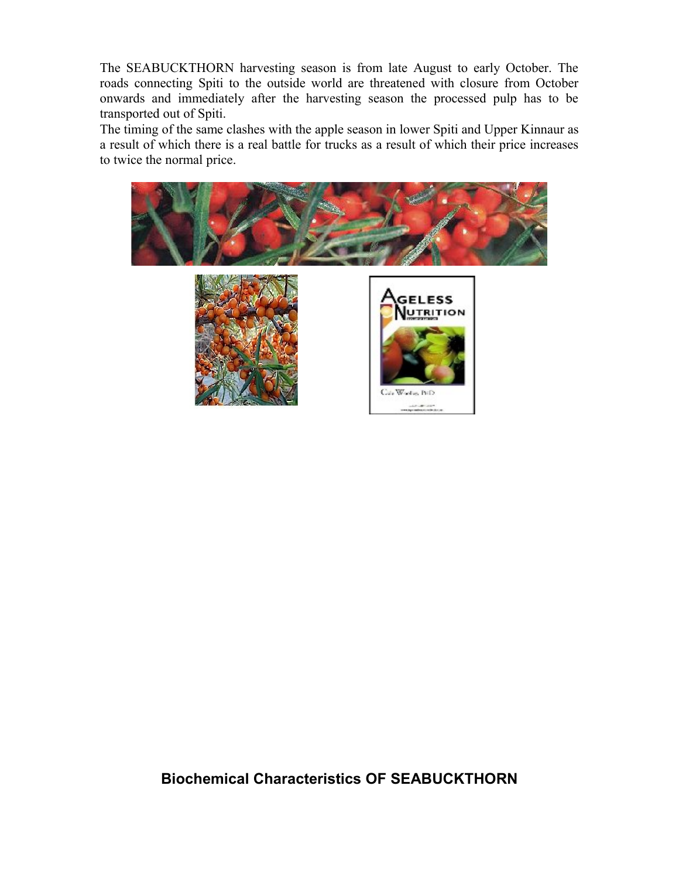The SEABUCKTHORN harvesting season is from late August to early October. The roads connecting Spiti to the outside world are threatened with closure from October onwards and immediately after the harvesting season the processed pulp has to be transported out of Spiti.

The timing of the same clashes with the apple season in lower Spiti and Upper Kinnaur as a result of which there is a real battle for trucks as a result of which their price increases to twice the normal price.



**Biochemical Characteristics OF SEABUCKTHORN**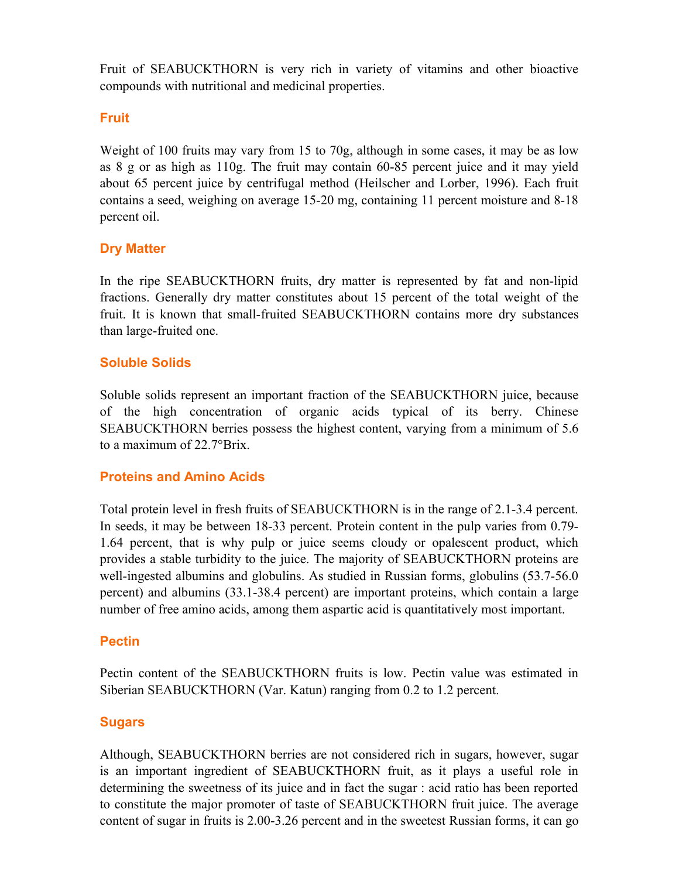Fruit of SEABUCKTHORN is very rich in variety of vitamins and other bioactive compounds with nutritional and medicinal properties.

## **Fruit**

Weight of 100 fruits may vary from 15 to 70g, although in some cases, it may be as low as 8 g or as high as 110g. The fruit may contain 60-85 percent juice and it may yield about 65 percent juice by centrifugal method (Heilscher and Lorber, 1996). Each fruit contains a seed, weighing on average 15-20 mg, containing 11 percent moisture and 8-18 percent oil.

## **Dry Matter**

In the ripe SEABUCKTHORN fruits, dry matter is represented by fat and non-lipid fractions. Generally dry matter constitutes about 15 percent of the total weight of the fruit. It is known that small-fruited SEABUCKTHORN contains more dry substances than large-fruited one.

## **Soluble Solids**

Soluble solids represent an important fraction of the SEABUCKTHORN juice, because of the high concentration of organic acids typical of its berry. Chinese SEABUCKTHORN berries possess the highest content, varying from a minimum of 5.6 to a maximum of 22.7°Brix.

## **Proteins and Amino Acids**

Total protein level in fresh fruits of SEABUCKTHORN is in the range of 2.1-3.4 percent. In seeds, it may be between 18-33 percent. Protein content in the pulp varies from 0.79- 1.64 percent, that is why pulp or juice seems cloudy or opalescent product, which provides a stable turbidity to the juice. The majority of SEABUCKTHORN proteins are well-ingested albumins and globulins. As studied in Russian forms, globulins (53.7-56.0) percent) and albumins (33.1-38.4 percent) are important proteins, which contain a large number of free amino acids, among them aspartic acid is quantitatively most important.

## **Pectin**

Pectin content of the SEABUCKTHORN fruits is low. Pectin value was estimated in Siberian SEABUCKTHORN (Var. Katun) ranging from 0.2 to 1.2 percent.

## **Sugars**

Although, SEABUCKTHORN berries are not considered rich in sugars, however, sugar is an important ingredient of SEABUCKTHORN fruit, as it plays a useful role in determining the sweetness of its juice and in fact the sugar : acid ratio has been reported to constitute the major promoter of taste of SEABUCKTHORN fruit juice. The average content of sugar in fruits is 2.00-3.26 percent and in the sweetest Russian forms, it can go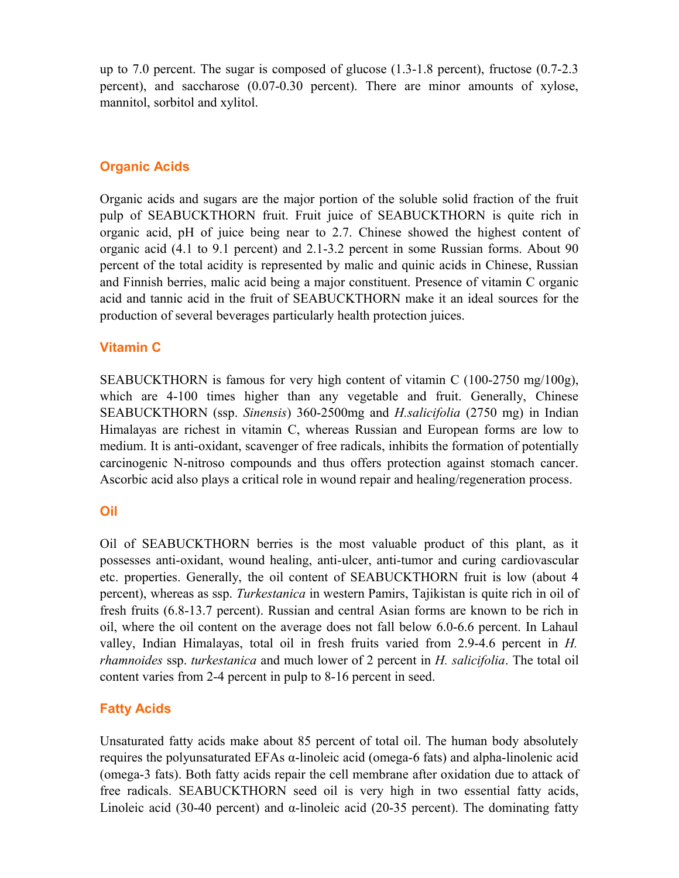up to 7.0 percent. The sugar is composed of glucose (1.3-1.8 percent), fructose (0.7-2.3 percent), and saccharose (0.07-0.30 percent). There are minor amounts of xylose, mannitol, sorbitol and xylitol.

## **Organic Acids**

Organic acids and sugars are the major portion of the soluble solid fraction of the fruit pulp of SEABUCKTHORN fruit. Fruit juice of SEABUCKTHORN is quite rich in organic acid, pH of juice being near to 2.7. Chinese showed the highest content of organic acid (4.1 to 9.1 percent) and 2.1-3.2 percent in some Russian forms. About 90 percent of the total acidity is represented by malic and quinic acids in Chinese, Russian and Finnish berries, malic acid being a major constituent. Presence of vitamin C organic acid and tannic acid in the fruit of SEABUCKTHORN make it an ideal sources for the production of several beverages particularly health protection juices.

## **Vitamin C**

SEABUCKTHORN is famous for very high content of vitamin C  $(100-2750 \text{ mg}/100 \text{g})$ , which are 4-100 times higher than any vegetable and fruit. Generally, Chinese SEABUCKTHORN (ssp. *Sinensis*) 360-2500mg and *H.salicifolia* (2750 mg) in Indian Himalayas are richest in vitamin C, whereas Russian and European forms are low to medium. It is anti-oxidant, scavenger of free radicals, inhibits the formation of potentially carcinogenic N-nitroso compounds and thus offers protection against stomach cancer. Ascorbic acid also plays a critical role in wound repair and healing/regeneration process.

## **Oil**

Oil of SEABUCKTHORN berries is the most valuable product of this plant, as it possesses anti-oxidant, wound healing, anti-ulcer, anti-tumor and curing cardiovascular etc. properties. Generally, the oil content of SEABUCKTHORN fruit is low (about 4 percent), whereas as ssp. *Turkestanica* in western Pamirs, Tajikistan is quite rich in oil of fresh fruits (6.8-13.7 percent). Russian and central Asian forms are known to be rich in oil, where the oil content on the average does not fall below 6.0-6.6 percent. In Lahaul valley, Indian Himalayas, total oil in fresh fruits varied from 2.9-4.6 percent in *H. rhamnoides* ssp. *turkestanica* and much lower of 2 percent in *H. salicifolia*. The total oil content varies from 2-4 percent in pulp to 8-16 percent in seed.

## **Fatty Acids**

Unsaturated fatty acids make about 85 percent of total oil. The human body absolutely requires the polyunsaturated EFAs α-linoleic acid (omega-6 fats) and alpha-linolenic acid (omega-3 fats). Both fatty acids repair the cell membrane after oxidation due to attack of free radicals. SEABUCKTHORN seed oil is very high in two essential fatty acids, Linoleic acid (30-40 percent) and  $\alpha$ -linoleic acid (20-35 percent). The dominating fatty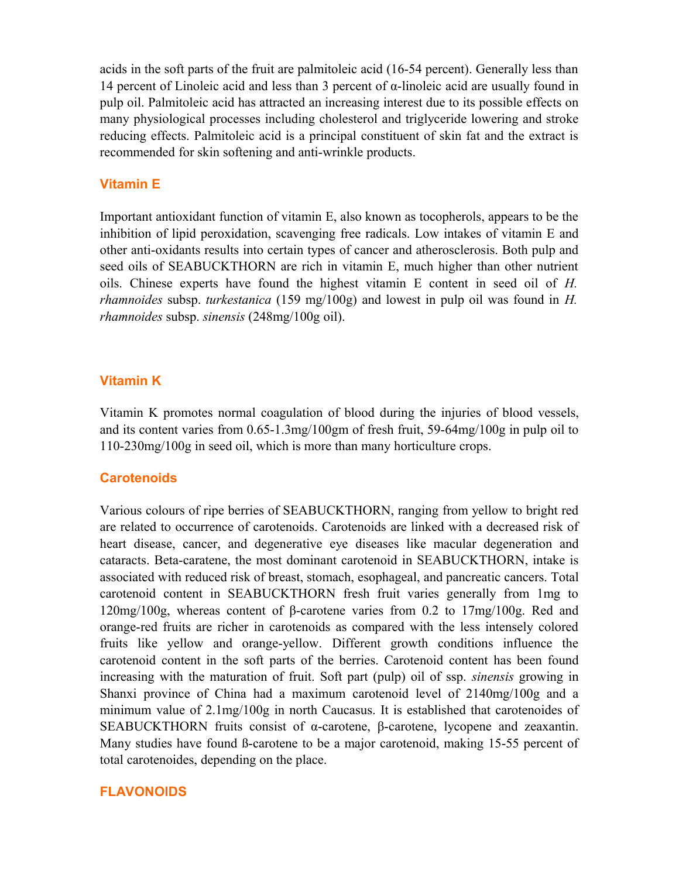acids in the soft parts of the fruit are palmitoleic acid (16-54 percent). Generally less than 14 percent of Linoleic acid and less than 3 percent of α-linoleic acid are usually found in pulp oil. Palmitoleic acid has attracted an increasing interest due to its possible effects on many physiological processes including cholesterol and triglyceride lowering and stroke reducing effects. Palmitoleic acid is a principal constituent of skin fat and the extract is recommended for skin softening and anti-wrinkle products.

## **Vitamin E**

Important antioxidant function of vitamin E, also known as tocopherols, appears to be the inhibition of lipid peroxidation, scavenging free radicals. Low intakes of vitamin E and other anti-oxidants results into certain types of cancer and atherosclerosis. Both pulp and seed oils of SEABUCKTHORN are rich in vitamin E, much higher than other nutrient oils. Chinese experts have found the highest vitamin E content in seed oil of *H. rhamnoides* subsp. *turkestanica* (159 mg/100g) and lowest in pulp oil was found in *H. rhamnoides* subsp. *sinensis* (248mg/100g oil).

## **Vitamin K**

Vitamin K promotes normal coagulation of blood during the injuries of blood vessels, and its content varies from 0.65-1.3mg/100gm of fresh fruit, 59-64mg/100g in pulp oil to 110-230mg/100g in seed oil, which is more than many horticulture crops.

## **Carotenoids**

Various colours of ripe berries of SEABUCKTHORN, ranging from yellow to bright red are related to occurrence of carotenoids. Carotenoids are linked with a decreased risk of heart disease, cancer, and degenerative eye diseases like macular degeneration and cataracts. Beta-caratene, the most dominant carotenoid in SEABUCKTHORN, intake is associated with reduced risk of breast, stomach, esophageal, and pancreatic cancers. Total carotenoid content in SEABUCKTHORN fresh fruit varies generally from 1mg to 120mg/100g, whereas content of β-carotene varies from 0.2 to 17mg/100g. Red and orange-red fruits are richer in carotenoids as compared with the less intensely colored fruits like yellow and orange-yellow. Different growth conditions influence the carotenoid content in the soft parts of the berries. Carotenoid content has been found increasing with the maturation of fruit. Soft part (pulp) oil of ssp. *sinensis* growing in Shanxi province of China had a maximum carotenoid level of 2140mg/100g and a minimum value of 2.1mg/100g in north Caucasus. It is established that carotenoides of SEABUCKTHORN fruits consist of α-carotene, β-carotene, lycopene and zeaxantin. Many studies have found ß-carotene to be a major carotenoid, making 15-55 percent of total carotenoides, depending on the place.

## **FLAVONOIDS**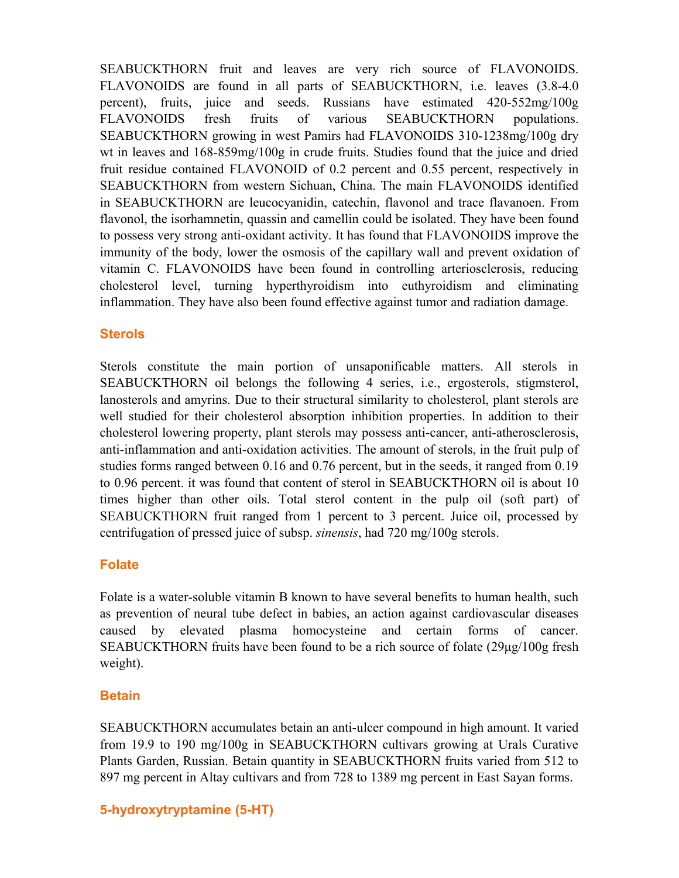SEABUCKTHORN fruit and leaves are very rich source of FLAVONOIDS. FLAVONOIDS are found in all parts of SEABUCKTHORN, i.e. leaves (3.8-4.0 percent), fruits, juice and seeds. Russians have estimated 420-552mg/100g FLAVONOIDS fresh fruits of various SEABUCKTHORN populations. SEABUCKTHORN growing in west Pamirs had FLAVONOIDS 310-1238mg/100g dry wt in leaves and 168-859mg/100g in crude fruits. Studies found that the juice and dried fruit residue contained FLAVONOID of 0.2 percent and 0.55 percent, respectively in SEABUCKTHORN from western Sichuan, China. The main FLAVONOIDS identified in SEABUCKTHORN are leucocyanidin, catechin, flavonol and trace flavanoen. From flavonol, the isorhamnetin, quassin and camellin could be isolated. They have been found to possess very strong anti-oxidant activity. It has found that FLAVONOIDS improve the immunity of the body, lower the osmosis of the capillary wall and prevent oxidation of vitamin C. FLAVONOIDS have been found in controlling arteriosclerosis, reducing cholesterol level, turning hyperthyroidism into euthyroidism and eliminating inflammation. They have also been found effective against tumor and radiation damage.

## **Sterols**

Sterols constitute the main portion of unsaponificable matters. All sterols in SEABUCKTHORN oil belongs the following 4 series, i.e., ergosterols, stigmsterol, lanosterols and amyrins. Due to their structural similarity to cholesterol, plant sterols are well studied for their cholesterol absorption inhibition properties. In addition to their cholesterol lowering property, plant sterols may possess anti-cancer, anti-atherosclerosis, anti-inflammation and anti-oxidation activities. The amount of sterols, in the fruit pulp of studies forms ranged between 0.16 and 0.76 percent, but in the seeds, it ranged from 0.19 to 0.96 percent. it was found that content of sterol in SEABUCKTHORN oil is about 10 times higher than other oils. Total sterol content in the pulp oil (soft part) of SEABUCKTHORN fruit ranged from 1 percent to 3 percent. Juice oil, processed by centrifugation of pressed juice of subsp. *sinensis*, had 720 mg/100g sterols.

## **Folate**

Folate is a water-soluble vitamin B known to have several benefits to human health, such as prevention of neural tube defect in babies, an action against cardiovascular diseases caused by elevated plasma homocysteine and certain forms of cancer. SEABUCKTHORN fruits have been found to be a rich source of folate (29µg/100g fresh weight).

## **Betain**

SEABUCKTHORN accumulates betain an anti-ulcer compound in high amount. It varied from 19.9 to 190 mg/100g in SEABUCKTHORN cultivars growing at Urals Curative Plants Garden, Russian. Betain quantity in SEABUCKTHORN fruits varied from 512 to 897 mg percent in Altay cultivars and from 728 to 1389 mg percent in East Sayan forms.

## **5-hydroxytryptamine (5-HT)**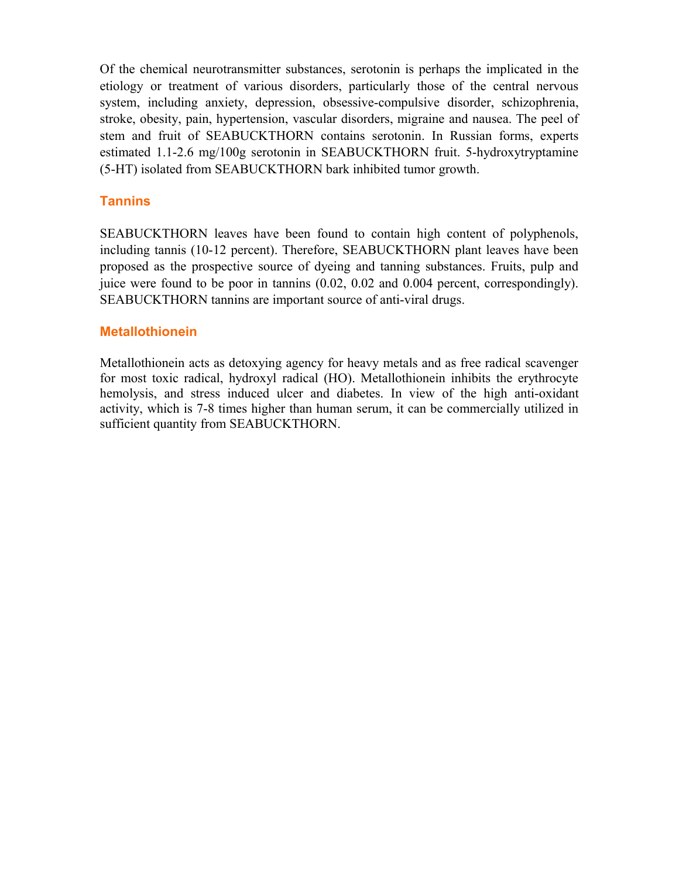Of the chemical neurotransmitter substances, serotonin is perhaps the implicated in the etiology or treatment of various disorders, particularly those of the central nervous system, including anxiety, depression, obsessive-compulsive disorder, schizophrenia, stroke, obesity, pain, hypertension, vascular disorders, migraine and nausea. The peel of stem and fruit of SEABUCKTHORN contains serotonin. In Russian forms, experts estimated 1.1-2.6 mg/100g serotonin in SEABUCKTHORN fruit. 5-hydroxytryptamine (5-HT) isolated from SEABUCKTHORN bark inhibited tumor growth.

## **Tannins**

SEABUCKTHORN leaves have been found to contain high content of polyphenols, including tannis (10-12 percent). Therefore, SEABUCKTHORN plant leaves have been proposed as the prospective source of dyeing and tanning substances. Fruits, pulp and juice were found to be poor in tannins (0.02, 0.02 and 0.004 percent, correspondingly). SEABUCKTHORN tannins are important source of anti-viral drugs.

## **Metallothionein**

Metallothionein acts as detoxying agency for heavy metals and as free radical scavenger for most toxic radical, hydroxyl radical (HO). Metallothionein inhibits the erythrocyte hemolysis, and stress induced ulcer and diabetes. In view of the high anti-oxidant activity, which is 7-8 times higher than human serum, it can be commercially utilized in sufficient quantity from SEABUCKTHORN.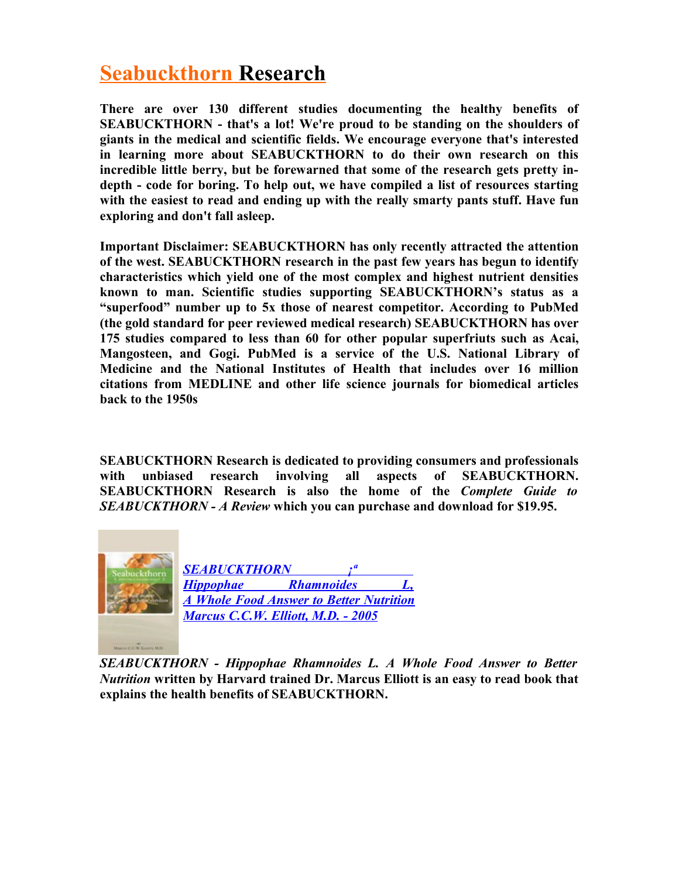# **Seabuckthorn Research**

**There are over 130 different studies documenting the healthy benefits of SEABUCKTHORN - that's a lot! We're proud to be standing on the shoulders of giants in the medical and scientific fields. We encourage everyone that's interested in learning more about SEABUCKTHORN to do their own research on this incredible little berry, but be forewarned that some of the research gets pretty indepth - code for boring. To help out, we have compiled a list of resources starting with the easiest to read and ending up with the really smarty pants stuff. Have fun exploring and don't fall asleep.** 

**Important Disclaimer: SEABUCKTHORN has only recently attracted the attention of the west. SEABUCKTHORN research in the past few years has begun to identify characteristics which yield one of the most complex and highest nutrient densities known to man. Scientific studies supporting SEABUCKTHORN's status as a "superfood" number up to 5x those of nearest competitor. According to PubMed (the gold standard for peer reviewed medical research) SEABUCKTHORN has over 175 studies compared to less than 60 for other popular superfriuts such as Acai, Mangosteen, and Gogi. PubMed is a service of the U.S. National Library of Medicine and the National Institutes of Health that includes over 16 million citations from MEDLINE and other life science journals for biomedical articles back to the 1950s**

**SEABUCKTHORN Research is dedicated to providing consumers and professionals with unbiased research involving all aspects of SEABUCKTHORN. SEABUCKTHORN Research is also the home of the** *Complete Guide to SEABUCKTHORN - A Review* **which you can purchase and download for \$19.95.** 



*SEABUCKTHORN - Hippophae Rhamnoides L. A Whole Food Answer to Better Nutrition* **written by Harvard trained Dr. Marcus Elliott is an easy to read book that explains the health benefits of SEABUCKTHORN.**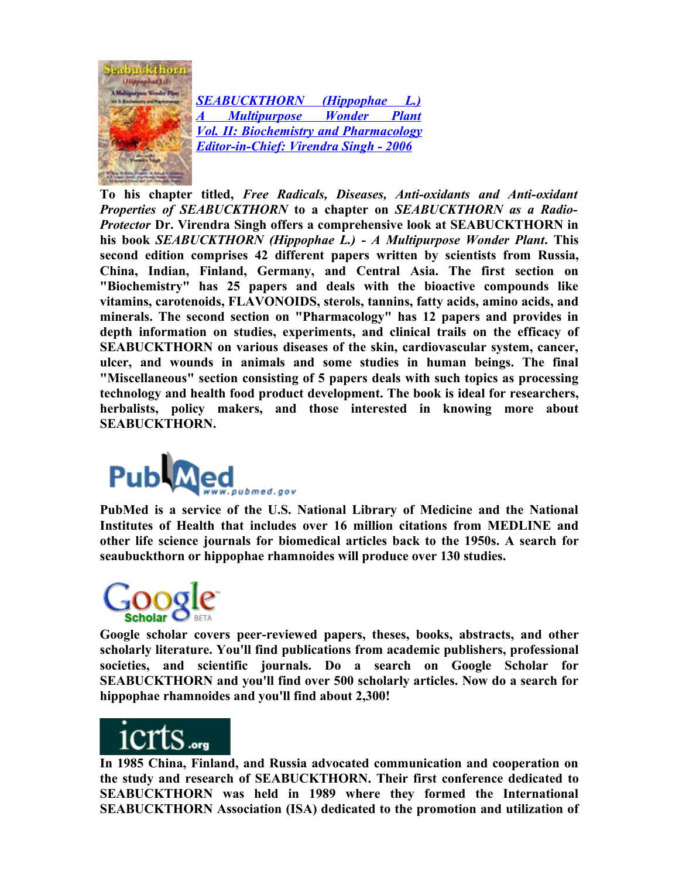

 *[SEABUCKTHORN \(Hippophae L.\)](http://www.bagchee.com/qsearch.aspx?page=0&SerFld=Author&qsearch=true&page=0&SerTxt=Virendra%20Singh%20(ed.)) A Multipurpose Wonder Plant [Vol. II: Biochemistry and Pharmacology](http://www.bagchee.com/qsearch.aspx?page=0&SerFld=Author&qsearch=true&page=0&SerTxt=Virendra%20Singh%20(ed.)) [Editor-in-Chief: Virendra Singh - 2006](http://www.bagchee.com/qsearch.aspx?page=0&SerFld=Author&qsearch=true&page=0&SerTxt=Virendra%20Singh%20(ed.))*

**To his chapter titled,** *Free Radicals, Diseases, Anti-oxidants and Anti-oxidant Properties of SEABUCKTHORN* **to a chapter on** *SEABUCKTHORN as a Radio-Protector* **Dr. Virendra Singh offers a comprehensive look at SEABUCKTHORN in his book** *SEABUCKTHORN (Hippophae L.) - A Multipurpose Wonder Plant***. This second edition comprises 42 different papers written by scientists from Russia, China, Indian, Finland, Germany, and Central Asia. The first section on "Biochemistry" has 25 papers and deals with the bioactive compounds like vitamins, carotenoids, FLAVONOIDS, sterols, tannins, fatty acids, amino acids, and minerals. The second section on "Pharmacology" has 12 papers and provides in depth information on studies, experiments, and clinical trails on the efficacy of SEABUCKTHORN on various diseases of the skin, cardiovascular system, cancer, ulcer, and wounds in animals and some studies in human beings. The final "Miscellaneous" section consisting of 5 papers deals with such topics as processing technology and health food product development. The book is ideal for researchers, herbalists, policy makers, and those interested in knowing more about SEABUCKTHORN.** 



**PubMed is a service of the U.S. National Library of Medicine and the National Institutes of Health that includes over 16 million citations from MEDLINE and other life science journals for biomedical articles back to the 1950s. A search for seaubuckthorn or hippophae rhamnoides will produce over 130 studies.** 



**Google scholar covers peer-reviewed papers, theses, books, abstracts, and other scholarly literature. You'll find publications from academic publishers, professional societies, and scientific journals. Do a search on Google Scholar for SEABUCKTHORN and you'll find over 500 scholarly articles. Now do a search for hippophae rhamnoides and you'll find about 2,300!** 



**In 1985 China, Finland, and Russia advocated communication and cooperation on the study and research of SEABUCKTHORN. Their first conference dedicated to SEABUCKTHORN was held in 1989 where they formed the International SEABUCKTHORN Association (ISA) dedicated to the promotion and utilization of**